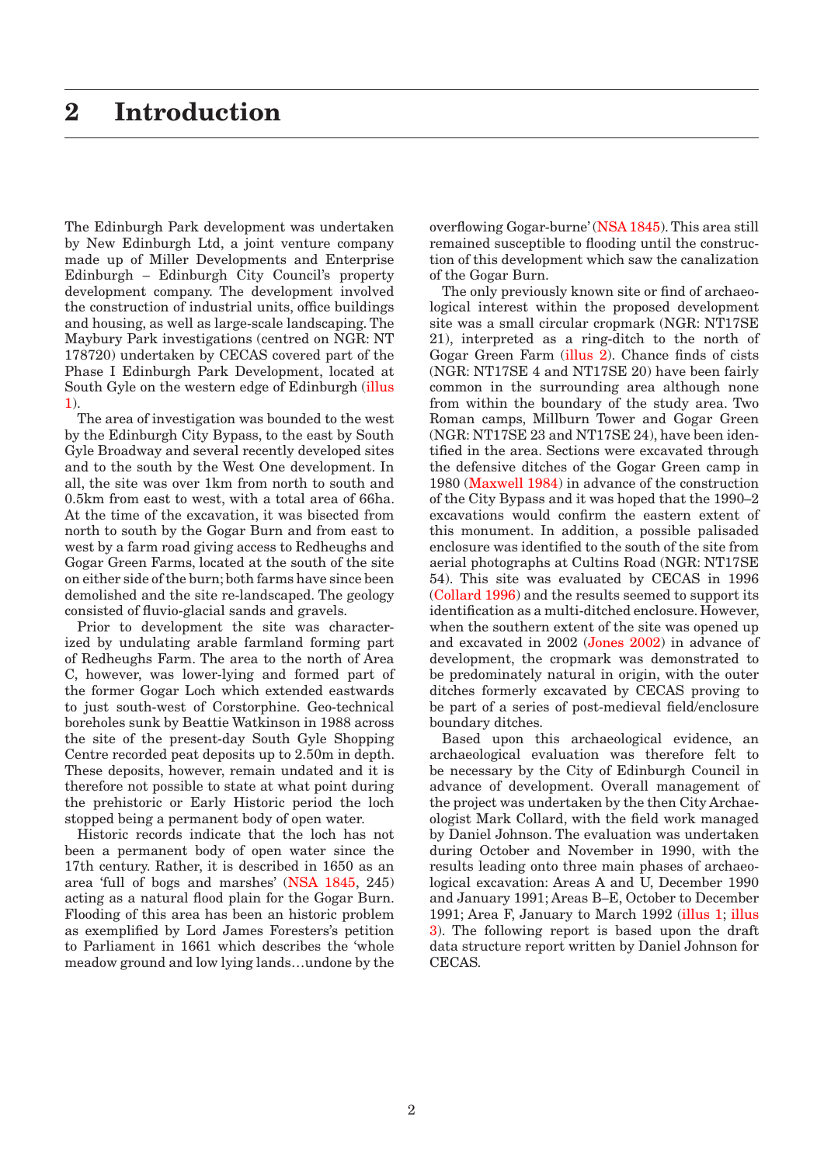The Edinburgh Park development was undertaken by New Edinburgh Ltd, a joint venture company made up of Miller Developments and Enterprise Edinburgh – Edinburgh City Council's property development company. The development involved the construction of industrial units, office buildings and housing, as well as large-scale landscaping. The Maybury Park investigations (centred on NGR: NT 178720) undertaken by CECAS covered part of the Phase I Edinburgh Park Development, located at South Gyle on the western edge of Edinburgh [\(illus](#page-1-0)  [1\)](#page-1-0).

The area of investigation was bounded to the west by the Edinburgh City Bypass, to the east by South Gyle Broadway and several recently developed sites and to the south by the West One development. In all, the site was over 1km from north to south and 0.5km from east to west, with a total area of 66ha. At the time of the excavation, it was bisected from north to south by the Gogar Burn and from east to west by a farm road giving access to Redheughs and Gogar Green Farms, located at the south of the site on either side of the burn; both farms have since been demolished and the site re-landscaped. The geology consisted of fluvio-glacial sands and gravels.

Prior to development the site was characterized by undulating arable farmland forming part of Redheughs Farm. The area to the north of Area C, however, was lower-lying and formed part of the former Gogar Loch which extended eastwards to just south-west of Corstorphine. Geo-technical boreholes sunk by Beattie Watkinson in 1988 across the site of the present-day South Gyle Shopping Centre recorded peat deposits up to 2.50m in depth. These deposits, however, remain undated and it is therefore not possible to state at what point during the prehistoric or Early Historic period the loch stopped being a permanent body of open water.

Historic records indicate that the loch has not been a permanent body of open water since the 17th century. Rather, it is described in 1650 as an area 'full of bogs and marshes' (NSA 1845, 245) acting as a natural flood plain for the Gogar Burn. Flooding of this area has been an historic problem as exemplified by Lord James Foresters's petition to Parliament in 1661 which describes the 'whole meadow ground and low lying lands…undone by the overflowing Gogar-burne' [\(NSA 1845\)](#page--1-0). This area still remained susceptible to flooding until the construction of this development which saw the canalization of the Gogar Burn.

The only previously known site or find of archaeological interest within the proposed development site was a small circular cropmark (NGR: NT17SE 21), interpreted as a ring-ditch to the north of Gogar Green Farm [\(illus 2\)](#page-2-0). Chance finds of cists (NGR: NT17SE 4 and NT17SE 20) have been fairly common in the surrounding area although none from within the boundary of the study area. Two Roman camps, Millburn Tower and Gogar Green (NGR: NT17SE 23 and NT17SE 24), have been identified in the area. Sections were excavated through the defensive ditches of the Gogar Green camp in 1980 [\(Maxwell 1984\)](#page--1-0) in advance of the construction of the City Bypass and it was hoped that the 1990–2 excavations would confirm the eastern extent of this monument. In addition, a possible palisaded enclosure was identified to the south of the site from aerial photographs at Cultins Road (NGR: NT17SE 54). This site was evaluated by CECAS in 1996 ([Collard 1996\)](#page--1-0) and the results seemed to support its identification as a multi-ditched enclosure. However, when the southern extent of the site was opened up and excavated in 2002 ([Jones 2002\)](#page--1-0) in advance of development, the cropmark was demonstrated to be predominately natural in origin, with the outer ditches formerly excavated by CECAS proving to be part of a series of post-medieval field/enclosure boundary ditches.

Based upon this archaeological evidence, an archaeological evaluation was therefore felt to be necessary by the City of Edinburgh Council in advance of development. Overall management of the project was undertaken by the then City Archaeologist Mark Collard, with the field work managed by Daniel Johnson. The evaluation was undertaken during October and November in 1990, with the results leading onto three main phases of archaeological excavation: Areas A and U, December 1990 and January 1991; Areas B–E, October to December 1991; Area F, January to March 1992 [\(illus 1;](#page-1-0) [illus](#page-3-0)  [3\)](#page-3-0). The following report is based upon the draft data structure report written by Daniel Johnson for CECAS.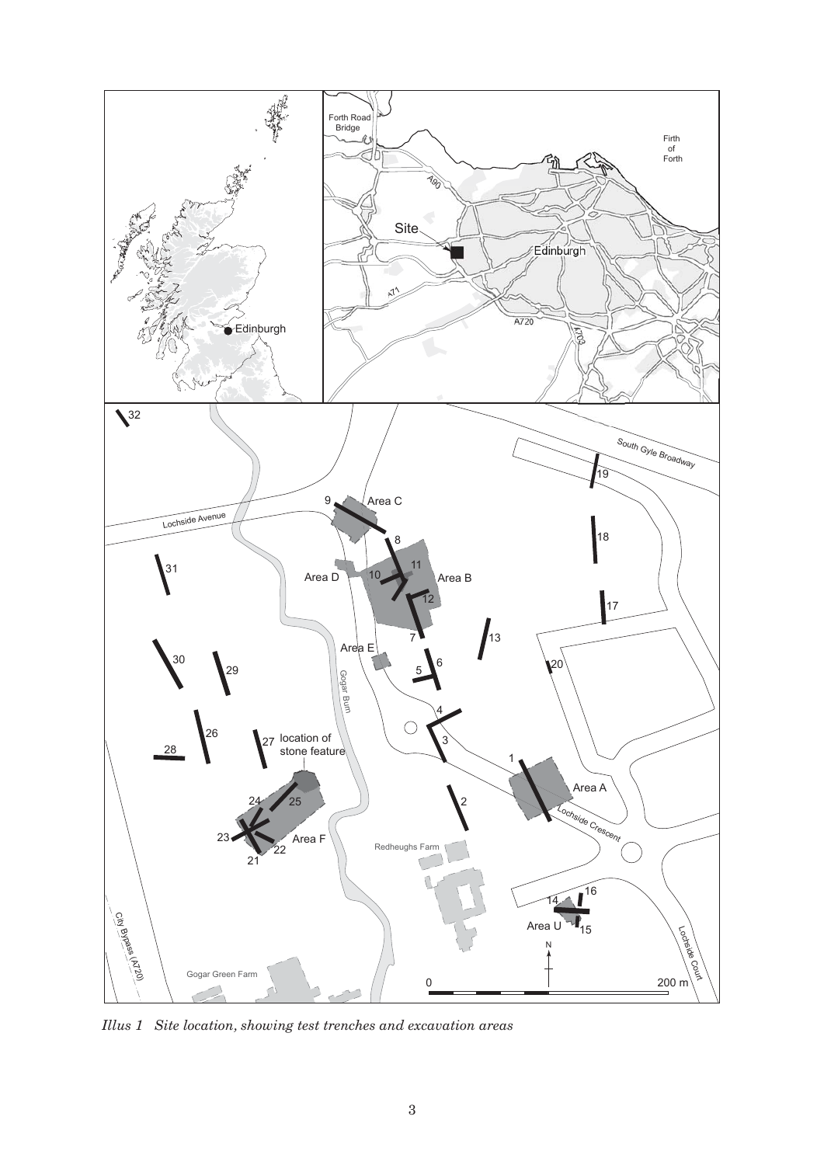<span id="page-1-0"></span>

*Illus 1 Site location, showing test trenches and excavation areas*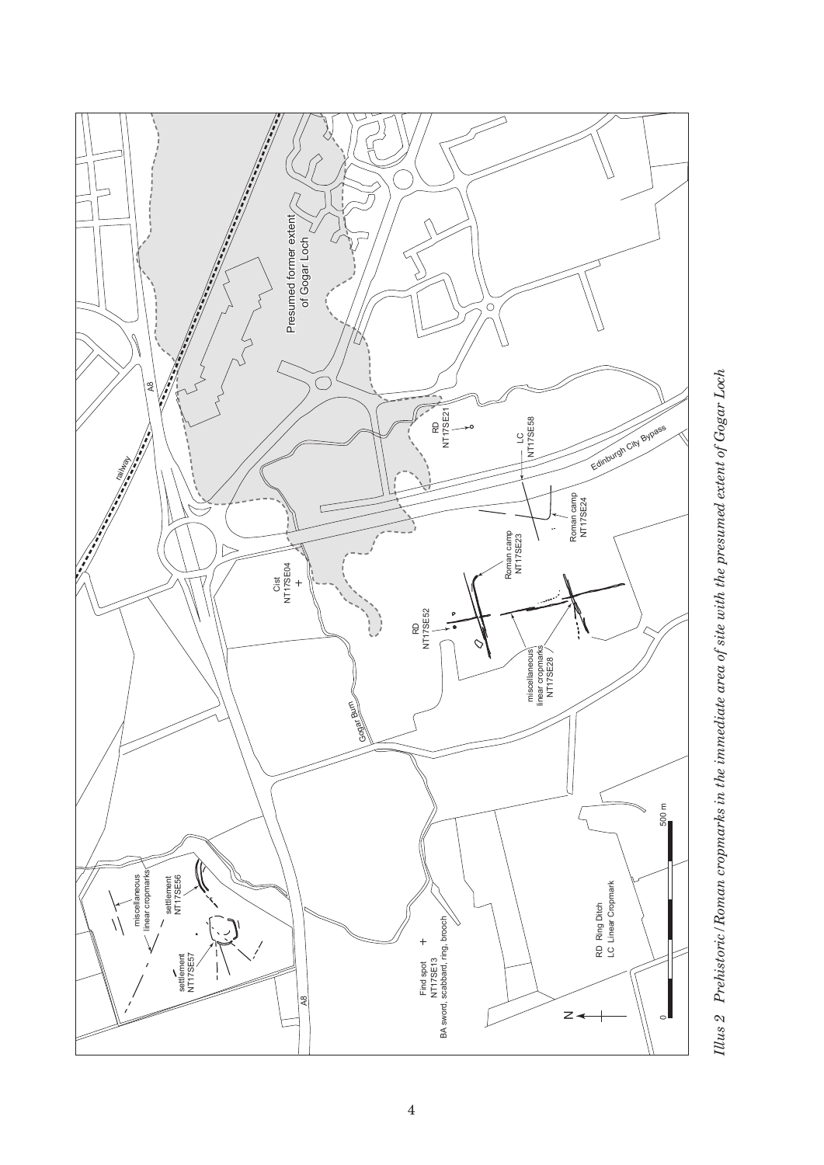<span id="page-2-0"></span>